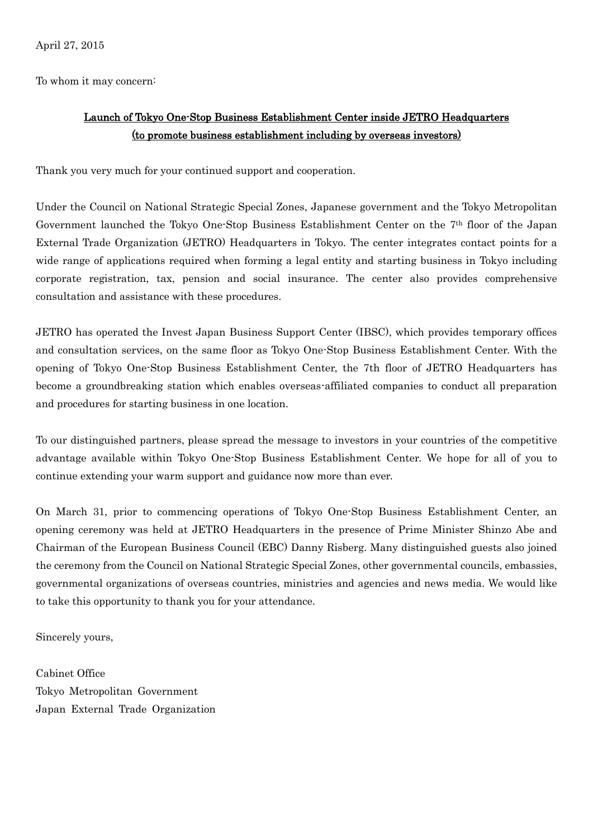To whom it may concern:

## Launch of Tokyo One-Stop Business Establishment Center inside JETRO Headquarters (to promote business establishment including by overseas investors)

Thank you very much for your continued support and cooperation.

Under the Council on National Strategic Special Zones, Japanese government and the Tokyo Metropolitan Government launched the Tokyo One-Stop Business Establishment Center on the 7th floor of the Japan External Trade Organization (JETRO) Headquarters in Tokyo. The center integrates contact points for a wide range of applications required when forming a legal entity and starting business in Tokyo including corporate registration, tax, pension and social insurance. The center also provides comprehensive consultation and assistance with these procedures.

JETRO has operated the Invest Japan Business Support Center (IBSC), which provides temporary offices and consultation services, on the same floor as Tokyo One-Stop Business Establishment Center. With the opening of Tokyo One-Stop Business Establishment Center, the 7th floor of JETRO Headquarters has become a groundbreaking station which enables overseas-affiliated companies to conduct all preparation and procedures for starting business in one location.

To our distinguished partners, please spread the message to investors in your countries of the competitive advantage available within Tokyo One-Stop Business Establishment Center. We hope for all of you to continue extending your warm support and guidance now more than ever.

On March 31, prior to commencing operations of Tokyo One-Stop Business Establishment Center, an opening ceremony was held at JETRO Headquarters in the presence of Prime Minister Shinzo Abe and Chairman of the European Business Council (EBC) Danny Risberg. Many distinguished guests also joined the ceremony from the Council on National Strategic Special Zones, other governmental councils, embassies, governmental organizations of overseas countries, ministries and agencies and news media. We would like to take this opportunity to thank you for your attendance.

Sincerely yours,

Cabinet Office Tokyo Metropolitan Government Japan External Trade Organization